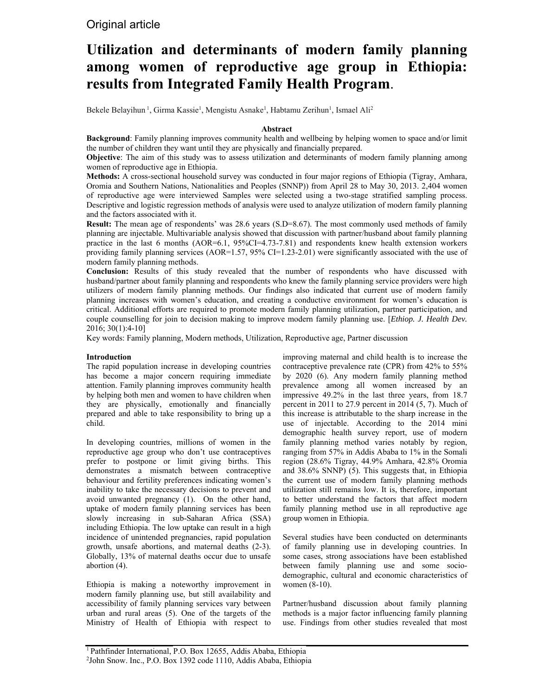# Original article

# **Utilization and determinants of modern family planning among women of reproductive age group in Ethiopia: results from Integrated Family Health Program**.

Bekele Belayihun<sup>1</sup>, Girma Kassie<sup>1</sup>, Mengistu Asnake<sup>1</sup>, Habtamu Zerihun<sup>1</sup>, Ismael Ali<sup>2</sup>

### **Abstract**

**Background**: Family planning improves community health and wellbeing by helping women to space and/or limit the number of children they want until they are physically and financially prepared.

**Objective**: The aim of this study was to assess utilization and determinants of modern family planning among women of reproductive age in Ethiopia.

**Methods:** A cross-sectional household survey was conducted in four major regions of Ethiopia (Tigray, Amhara, Oromia and Southern Nations, Nationalities and Peoples (SNNP)) from April 28 to May 30, 2013. 2,404 women of reproductive age were interviewed Samples were selected using a two-stage stratified sampling process. Descriptive and logistic regression methods of analysis were used to analyze utilization of modern family planning and the factors associated with it.

**Result:** The mean age of respondents' was 28.6 years (S.D=8.67). The most commonly used methods of family planning are injectable. Multivariable analysis showed that discussion with partner/husband about family planning practice in the last 6 months (AOR=6.1, 95%CI=4.73-7.81) and respondents knew health extension workers providing family planning services (AOR=1.57, 95% CI=1.23-2.01) were significantly associated with the use of modern family planning methods.

**Conclusion:** Results of this study revealed that the number of respondents who have discussed with husband/partner about family planning and respondents who knew the family planning service providers were high utilizers of modern family planning methods. Our findings also indicated that current use of modern family planning increases with women's education, and creating a conductive environment for women's education is critical. Additional efforts are required to promote modern family planning utilization, partner participation, and couple counselling for join to decision making to improve modern family planning use. [*Ethiop. J. Health Dev.* 2016; 30(1):4-10]

Key words: Family planning, Modern methods, Utilization, Reproductive age, Partner discussion

#### **Introduction**

The rapid population increase in developing countries has become a major concern requiring immediate attention. Family planning improves community health by helping both men and women to have children when they are physically, emotionally and financially prepared and able to take responsibility to bring up a child.

In developing countries, millions of women in the reproductive age group who don't use contraceptives prefer to postpone or limit giving births. This demonstrates a mismatch between contraceptive behaviour and fertility preferences indicating women's inability to take the necessary decisions to prevent and avoid unwanted pregnancy (1). On the other hand, uptake of modern family planning services has been slowly increasing in sub-Saharan Africa (SSA) including Ethiopia. The low uptake can result in a high incidence of unintended pregnancies, rapid population growth, unsafe abortions, and maternal deaths (2-3). Globally, 13% of maternal deaths occur due to unsafe abortion (4).

Ethiopia is making a noteworthy improvement in modern family planning use, but still availability and accessibility of family planning services vary between urban and rural areas (5). One of the targets of the Ministry of Health of Ethiopia with respect to

improving maternal and child health is to increase the contraceptive prevalence rate (CPR) from 42% to 55% by 2020 (6). Any modern family planning method prevalence among all women increased by an impressive 49.2% in the last three years, from 18.7 percent in 2011 to 27.9 percent in 2014 (5, 7). Much of this increase is attributable to the sharp increase in the use of injectable. According to the 2014 mini demographic health survey report, use of modern family planning method varies notably by region, ranging from 57% in Addis Ababa to 1% in the Somali region (28.6% Tigray, 44.9% Amhara, 42.8% Oromia and 38.6% SNNP) (5). This suggests that, in Ethiopia the current use of modern family planning methods utilization still remains low. It is, therefore, important to better understand the factors that affect modern family planning method use in all reproductive age group women in Ethiopia.

Several studies have been conducted on determinants of family planning use in developing countries. In some cases, strong associations have been established between family planning use and some sociodemographic, cultural and economic characteristics of women (8-10).

Partner/husband discussion about family planning methods is a major factor influencing family planning use. Findings from other studies revealed that most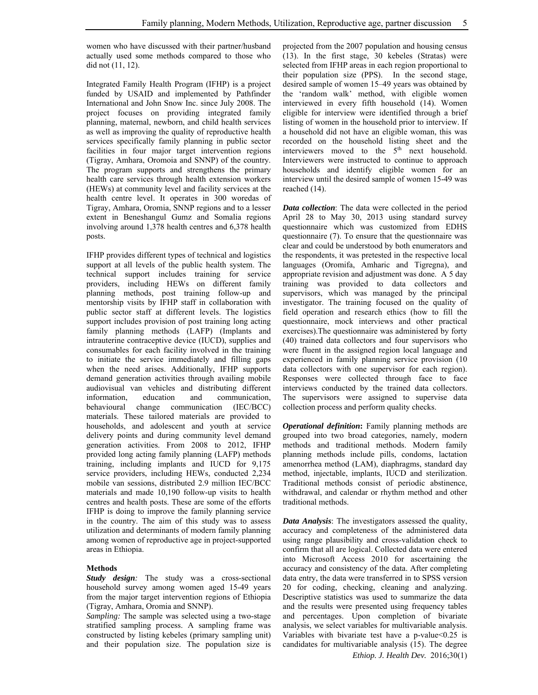women who have discussed with their partner/husband actually used some methods compared to those who did not (11, 12).

Integrated Family Health Program (IFHP) is a project funded by USAID and implemented by Pathfinder International and John Snow Inc. since July 2008. The project focuses on providing integrated family planning, maternal, newborn, and child health services as well as improving the quality of reproductive health services specifically family planning in public sector facilities in four major target intervention regions (Tigray, Amhara, Oromoia and SNNP) of the country. The program supports and strengthens the primary health care services through health extension workers (HEWs) at community level and facility services at the health centre level. It operates in 300 woredas of Tigray, Amhara, Oromia, SNNP regions and to a lesser extent in Beneshangul Gumz and Somalia regions involving around 1,378 health centres and 6,378 health posts.

IFHP provides different types of technical and logistics support at all levels of the public health system. The technical support includes training for service providers, including HEWs on different family planning methods, post training follow-up and mentorship visits by IFHP staff in collaboration with public sector staff at different levels. The logistics support includes provision of post training long acting family planning methods (LAFP) (Implants and intrauterine contraceptive device (IUCD), supplies and consumables for each facility involved in the training to initiate the service immediately and filling gaps when the need arises. Additionally, IFHP supports demand generation activities through availing mobile audiovisual van vehicles and distributing different information, education and communication, behavioural change communication (IEC/BCC) materials. These tailored materials are provided to households, and adolescent and youth at service delivery points and during community level demand generation activities. From 2008 to 2012, IFHP provided long acting family planning (LAFP) methods training, including implants and IUCD for 9,175 service providers, including HEWs, conducted 2,234 mobile van sessions, distributed 2.9 million IEC/BCC materials and made 10,190 follow-up visits to health centres and health posts. These are some of the efforts IFHP is doing to improve the family planning service in the country. The aim of this study was to assess utilization and determinants of modern family planning among women of reproductive age in project-supported areas in Ethiopia.

## **Methods**

*Study design:* The study was a cross-sectional household survey among women aged 15-49 years from the major target intervention regions of Ethiopia (Tigray, Amhara, Oromia and SNNP).

*Sampling:* The sample was selected using a two-stage stratified sampling process. A sampling frame was constructed by listing kebeles (primary sampling unit) and their population size. The population size is projected from the 2007 population and housing census (13). In the first stage, 30 kebeles (Stratas) were selected from IFHP areas in each region proportional to their population size (PPS). In the second stage, desired sample of women 15–49 years was obtained by the 'random walk' method, with eligible women interviewed in every fifth household (14). Women eligible for interview were identified through a brief listing of women in the household prior to interview. If a household did not have an eligible woman, this was recorded on the household listing sheet and the interviewers moved to the 5<sup>th</sup> next household. Interviewers were instructed to continue to approach households and identify eligible women for an interview until the desired sample of women 15-49 was reached (14).

*Data collection*: The data were collected in the period April 28 to May 30, 2013 using standard survey questionnaire which was customized from EDHS questionnaire (7). To ensure that the questionnaire was clear and could be understood by both enumerators and the respondents, it was pretested in the respective local languages (Oromifa, Amharic and Tigregna), and appropriate revision and adjustment was done. A 5 day training was provided to data collectors and supervisors, which was managed by the principal investigator. The training focused on the quality of field operation and research ethics (how to fill the questionnaire, mock interviews and other practical exercises).The questionnaire was administered by forty (40) trained data collectors and four supervisors who were fluent in the assigned region local language and experienced in family planning service provision (10 data collectors with one supervisor for each region). Responses were collected through face to face interviews conducted by the trained data collectors. The supervisors were assigned to supervise data collection process and perform quality checks.

*Operational definition***:** Family planning methods are grouped into two broad categories, namely, modern methods and traditional methods. Modern family planning methods include pills, condoms, lactation amenorrhea method (LAM), diaphragms, standard day method, injectable, implants, IUCD and sterilization. Traditional methods consist of periodic abstinence, withdrawal, and calendar or rhythm method and other traditional methods.

*Data Analysis*: The investigators assessed the quality, accuracy and completeness of the administered data using range plausibility and cross-validation check to confirm that all are logical. Collected data were entered into Microsoft Access 2010 for ascertaining the accuracy and consistency of the data. After completing data entry, the data were transferred in to SPSS version 20 for coding, checking, cleaning and analyzing. Descriptive statistics was used to summarize the data and the results were presented using frequency tables and percentages. Upon completion of bivariate analysis, we select variables for multivariable analysis. Variables with bivariate test have a p-value<0.25 is candidates for multivariable analysis (15). The degree

*Ethiop. J. Health Dev.* 2016;30(1)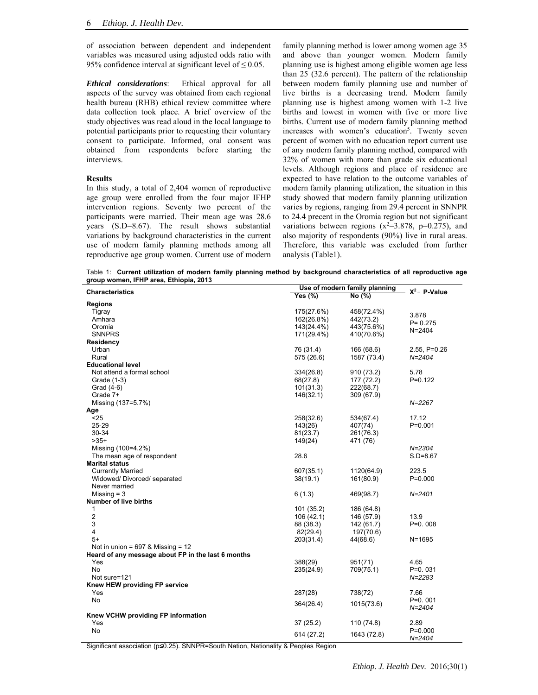of association between dependent and independent variables was measured using adjusted odds ratio with 95% confidence interval at significant level of  $\leq 0.05$ .

*Ethical considerations*: Ethical approval for all aspects of the survey was obtained from each regional health bureau (RHB) ethical review committee where data collection took place. A brief overview of the study objectives was read aloud in the local language to potential participants prior to requesting their voluntary consent to participate. Informed, oral consent was obtained from respondents before starting the interviews.

#### **Results**

In this study, a total of 2,404 women of reproductive age group were enrolled from the four major IFHP intervention regions. Seventy two percent of the participants were married. Their mean age was 28.6 years (S.D=8.67). The result shows substantial variations by background characteristics in the current use of modern family planning methods among all reproductive age group women. Current use of modern

family planning method is lower among women age 35 and above than younger women. Modern family planning use is highest among eligible women age less than 25 (32.6 percent). The pattern of the relationship between modern family planning use and number of live births is a decreasing trend. Modern family planning use is highest among women with 1-2 live births and lowest in women with five or more live births. Current use of modern family planning method increases with women's education<sup>5</sup>. Twenty seven percent of women with no education report current use of any modern family planning method, compared with 32% of women with more than grade six educational levels. Although regions and place of residence are expected to have relation to the outcome variables of modern family planning utilization, the situation in this study showed that modern family planning utilization varies by regions, ranging from 29.4 percent in SNNPR to 24.4 precent in the Oromia region but not significant variations between regions  $(x^2=3.878, p=0.275)$ , and also majority of respondents (90%) live in rural areas. Therefore, this variable was excluded from further analysis (Table1).

Table 1: **Current utilization of modern family planning method by background characteristics of all reproductive age group women, IFHP area, Ethiopia, 2013**

| <b>Characteristics</b>                             |            | Use of modern family planning |                  |
|----------------------------------------------------|------------|-------------------------------|------------------|
|                                                    | Yes (%)    | No (%)                        | $-X^2$ - P-Value |
| <b>Regions</b>                                     |            |                               |                  |
| Tigray                                             | 175(27.6%) | 458(72.4%)                    |                  |
| Amhara                                             | 162(26.8%) | 442(73.2)                     | 3.878            |
| Oromia                                             | 143(24.4%) | 443(75.6%)                    | $P = 0.275$      |
| <b>SNNPRS</b>                                      | 171(29.4%) | 410(70.6%)                    | $N = 2404$       |
| Residency                                          |            |                               |                  |
| Urban                                              | 76 (31.4)  | 166 (68.6)                    | $2.55, P=0.26$   |
| Rural                                              | 575 (26.6) | 1587 (73.4)                   | $N = 2404$       |
| <b>Educational level</b>                           |            |                               |                  |
| Not attend a formal school                         | 334(26.8)  | 910 (73.2)                    | 5.78             |
| Grade (1-3)                                        | 68(27.8)   | 177 (72.2)                    | $P=0.122$        |
|                                                    | 101(31.3)  |                               |                  |
| Grad (4-6)                                         |            | 222(68.7)                     |                  |
| Grade 7+                                           | 146(32.1)  | 309 (67.9)                    |                  |
| Missing (137=5.7%)                                 |            |                               | $N = 2267$       |
| Age                                                |            |                               |                  |
| $25$                                               | 258(32.6)  | 534(67.4)                     | 17.12            |
| 25-29                                              | 143(26)    | 407(74)                       | $P = 0.001$      |
| 30-34                                              | 81(23.7)   | 261(76.3)                     |                  |
| $>35+$                                             | 149(24)    | 471 (76)                      |                  |
| Missing (100=4.2%)                                 |            |                               | $N = 2304$       |
| The mean age of respondent                         | 28.6       |                               | $S.D = 8.67$     |
| <b>Marital status</b>                              |            |                               |                  |
| <b>Currently Married</b>                           | 607(35.1)  | 1120(64.9)                    | 223.5            |
| Widowed/ Divorced/ separated                       | 38(19.1)   | 161(80.9)                     | $P = 0.000$      |
| Never married                                      |            |                               |                  |
| Missing $=$ 3                                      | 6(1.3)     | 469(98.7)                     | $N = 2401$       |
| Number of live births                              |            |                               |                  |
| 1                                                  | 101 (35.2) | 186 (64.8)                    |                  |
| 2                                                  | 106 (42.1) | 146 (57.9)                    | 13.9             |
| 3                                                  | 88 (38.3)  | 142 (61.7)                    | $P=0.008$        |
| $\overline{4}$                                     | 82(29.4)   | 197(70.6)                     |                  |
| $5+$                                               | 203(31.4)  | 44(68.6)                      | $N = 1695$       |
| Not in union = $697$ & Missing = $12$              |            |                               |                  |
| Heard of any message about FP in the last 6 months |            |                               |                  |
| Yes                                                | 388(29)    | 951(71)                       | 4.65             |
| No.                                                | 235(24.9)  | 709(75.1)                     | $P=0.031$        |
| Not sure=121                                       |            |                               | $N = 2283$       |
| Knew HEW providing FP service                      |            |                               |                  |
| Yes                                                | 287(28)    | 738(72)                       | 7.66             |
| No                                                 |            |                               | $P=0.001$        |
|                                                    | 364(26.4)  | 1015(73.6)                    | $N = 2404$       |
| Knew VCHW providing FP information                 |            |                               |                  |
|                                                    | 37(25.2)   | 110 (74.8)                    |                  |
| Yes<br><b>No</b>                                   |            |                               | 2.89             |
|                                                    | 614 (27.2) | 1643 (72.8)                   | $P = 0.000$      |
|                                                    |            |                               | $N = 2404$       |

Significant association (p≤0.25). SNNPR=South Nation, Nationality & Peoples Region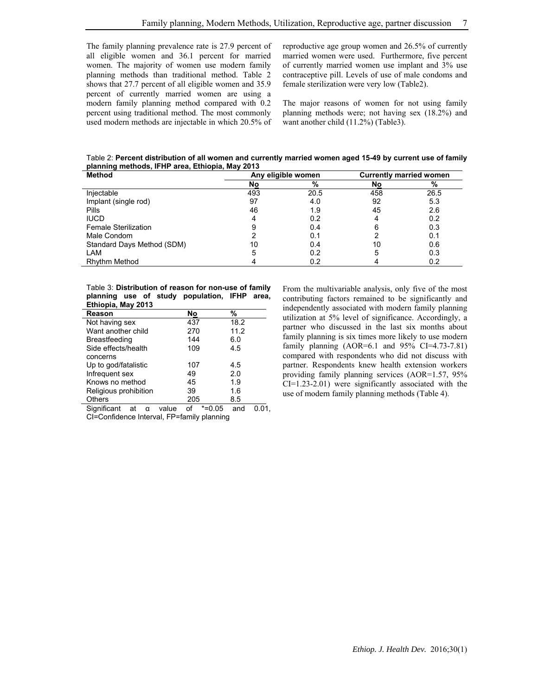The family planning prevalence rate is 27.9 percent of all eligible women and 36.1 percent for married women. The majority of women use modern family planning methods than traditional method. Table 2 shows that 27.7 percent of all eligible women and 35.9 percent of currently married women are using a modern family planning method compared with 0.2 percent using traditional method. The most commonly used modern methods are injectable in which 20.5% of reproductive age group women and 26.5% of currently married women were used. Furthermore, five percent of currently married women use implant and 3% use contraceptive pill. Levels of use of male condoms and female sterilization were very low (Table2).

The major reasons of women for not using family planning methods were; not having sex (18.2%) and want another child (11.2%) (Table3).

Table 2: **Percent distribution of all women and currently married women aged 15-49 by current use of family planning methods, IFHP area, Ethiopia, May 2013**

| <b>Method</b>               | Any eligible women |      | <b>Currently married women</b> |      |
|-----------------------------|--------------------|------|--------------------------------|------|
|                             | No                 | %    | No                             | %    |
| Injectable                  | 493                | 20.5 | 458                            | 26.5 |
| Implant (single rod)        | 97                 | 4.0  | 92                             | 5.3  |
| Pills                       | 46                 | 1.9  | 45                             | 2.6  |
| <b>IUCD</b>                 |                    | 0.2  |                                | 0.2  |
| <b>Female Sterilization</b> |                    | 0.4  | 6                              | 0.3  |
| Male Condom                 |                    | 0.1  |                                | 0.1  |
| Standard Days Method (SDM)  | 10                 | 0.4  | 10                             | 0.6  |
| LAM                         | h.                 | 0.2  | 5                              | 0.3  |
| <b>Rhythm Method</b>        |                    | 0.2  |                                | 0.2  |

Table 3: **Distribution of reason for non-use of family planning use of study population, IFHP area, Ethiopia, May 2013**

| Reason                     | No           | %    |
|----------------------------|--------------|------|
| Not having sex             | 437          | 18.2 |
| Want another child         | 270          | 11.2 |
| Breastfeeding              | 144          | 6.0  |
| Side effects/health        | 109          | 4.5  |
| concerns                   |              |      |
| Up to god/fatalistic       | 107          | 4.5  |
| Infrequent sex             | 49           | 2.0  |
| Knows no method            | 45           | 1.9  |
| Religious prohibition      | 39           | 1.6  |
| <b>Others</b>              | 205          | 8.5  |
| Significant<br>value<br>at | οf<br>*=0.05 | and  |

CI=Confidence Interval, FP=family planning

From the multivariable analysis, only five of the most contributing factors remained to be significantly and independently associated with modern family planning utilization at 5% level of significance. Accordingly, a partner who discussed in the last six months about family planning is six times more likely to use modern family planning (AOR=6.1 and 95% CI=4.73-7.81) compared with respondents who did not discuss with partner. Respondents knew health extension workers providing family planning services (AOR=1.57, 95% CI=1.23-2.01) were significantly associated with the use of modern family planning methods (Table 4).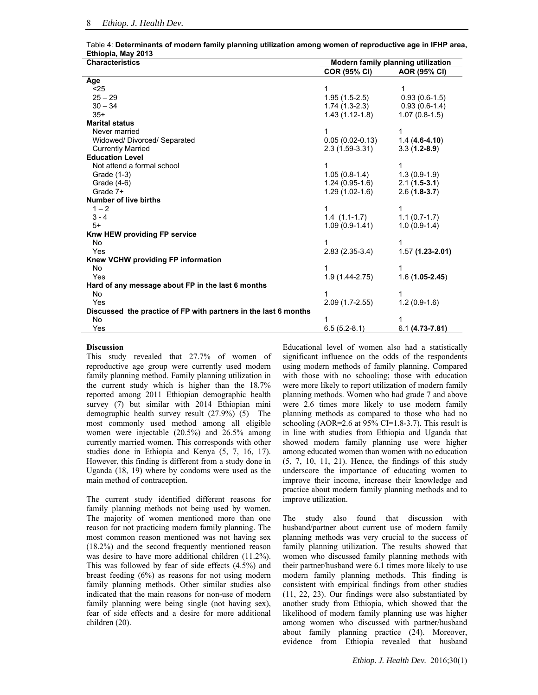Table 4: **Determinants of modern family planning utilization among women of reproductive age in IFHP area, Ethiopia, May 2013**

| <b>Characteristics</b>                                          | Modern family planning utilization |                    |  |
|-----------------------------------------------------------------|------------------------------------|--------------------|--|
|                                                                 | <b>COR (95% CI)</b>                | AOR (95% CI)       |  |
| Age                                                             |                                    |                    |  |
| < 25                                                            | 1                                  | 1                  |  |
| $25 - 29$                                                       | $1.95(1.5-2.5)$                    | $0.93(0.6-1.5)$    |  |
| $30 - 34$                                                       | $1.74(1.3-2.3)$                    | $0.93(0.6-1.4)$    |  |
| $35+$                                                           | $1.43(1.12-1.8)$                   | $1.07(0.8-1.5)$    |  |
| <b>Marital status</b>                                           |                                    |                    |  |
| Never married                                                   |                                    | 1                  |  |
| Widowed/ Divorced/ Separated                                    | $0.05(0.02-0.13)$                  | $1.4(4.6-4.10)$    |  |
| <b>Currently Married</b>                                        | $2.3(1.59-3.31)$                   | $3.3(1.2-8.9)$     |  |
| <b>Education Level</b>                                          |                                    |                    |  |
| Not attend a formal school                                      |                                    | 1                  |  |
| Grade (1-3)                                                     | $1.05(0.8-1.4)$                    | $1.3(0.9-1.9)$     |  |
| Grade (4-6)                                                     | $1.24(0.95-1.6)$                   | $2.1(1.5-3.1)$     |  |
| Grade 7+                                                        | $1.29(1.02-1.6)$                   | $2.6(1.8-3.7)$     |  |
| <b>Number of live births</b>                                    |                                    |                    |  |
| $1 - 2$                                                         | 1                                  | 1                  |  |
| $3 - 4$                                                         | $1.4(1.1-1.7)$                     | $1.1(0.7-1.7)$     |  |
| $5+$                                                            | $1.09(0.9-1.41)$                   | $1.0(0.9-1.4)$     |  |
| Knw HEW providing FP service                                    |                                    |                    |  |
| <b>No</b>                                                       | 1                                  | 1                  |  |
| Yes                                                             | $2.83(2.35-3.4)$                   | $1.57(1.23-2.01)$  |  |
| Knew VCHW providing FP information                              |                                    |                    |  |
| No                                                              |                                    | 1                  |  |
| Yes                                                             | $1.9(1.44 - 2.75)$                 | $1.6(1.05-2.45)$   |  |
| Hard of any message about FP in the last 6 months               |                                    |                    |  |
| <b>No</b>                                                       | 1                                  | 1                  |  |
| Yes                                                             | $2.09(1.7-2.55)$                   | $1.2(0.9-1.6)$     |  |
| Discussed the practice of FP with partners in the last 6 months |                                    |                    |  |
| No                                                              |                                    | 1                  |  |
| Yes                                                             | $6.5(5.2-8.1)$                     | $6.1(4.73 - 7.81)$ |  |

#### **Discussion**

This study revealed that 27.7% of women of reproductive age group were currently used modern family planning method. Family planning utilization in the current study which is higher than the 18.7% reported among 2011 Ethiopian demographic health survey (7) but similar with 2014 Ethiopian mini demographic health survey result (27.9%) (5) The most commonly used method among all eligible women were injectable (20.5%) and 26.5% among currently married women. This corresponds with other studies done in Ethiopia and Kenya (5, 7, 16, 17). However, this finding is different from a study done in Uganda (18, 19) where by condoms were used as the main method of contraception.

The current study identified different reasons for family planning methods not being used by women. The majority of women mentioned more than one reason for not practicing modern family planning. The most common reason mentioned was not having sex (18.2%) and the second frequently mentioned reason was desire to have more additional children (11.2%). This was followed by fear of side effects (4.5%) and breast feeding (6%) as reasons for not using modern family planning methods. Other similar studies also indicated that the main reasons for non-use of modern family planning were being single (not having sex), fear of side effects and a desire for more additional children (20).

Educational level of women also had a statistically significant influence on the odds of the respondents using modern methods of family planning. Compared with those with no schooling; those with education were more likely to report utilization of modern family planning methods. Women who had grade 7 and above were 2.6 times more likely to use modern family planning methods as compared to those who had no schooling (AOR=2.6 at  $95\%$  CI=1.8-3.7). This result is in line with studies from Ethiopia and Uganda that showed modern family planning use were higher among educated women than women with no education (5, 7, 10, 11, 21). Hence, the findings of this study underscore the importance of educating women to improve their income, increase their knowledge and practice about modern family planning methods and to improve utilization.

The study also found that discussion with husband/partner about current use of modern family planning methods was very crucial to the success of family planning utilization. The results showed that women who discussed family planning methods with their partner/husband were 6.1 times more likely to use modern family planning methods. This finding is consistent with empirical findings from other studies (11, 22, 23). Our findings were also substantiated by another study from Ethiopia, which showed that the likelihood of modern family planning use was higher among women who discussed with partner/husband about family planning practice (24). Moreover, evidence from Ethiopia revealed that husband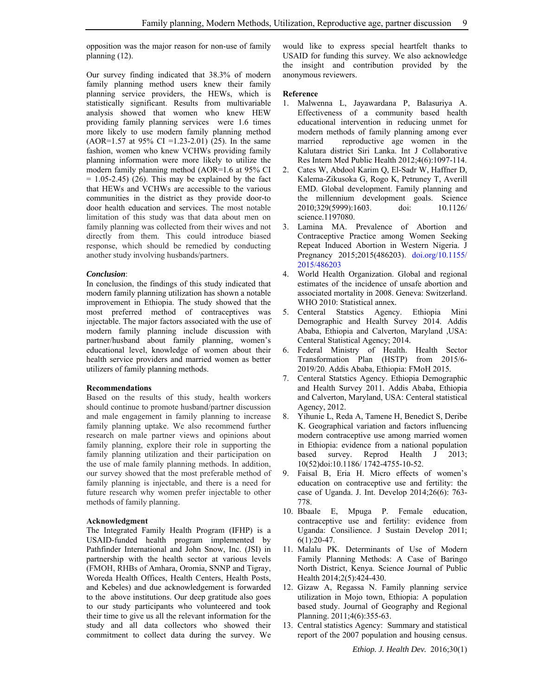opposition was the major reason for non-use of family planning (12).

Our survey finding indicated that 38.3% of modern family planning method users knew their family planning service providers, the HEWs, which is statistically significant. Results from multivariable analysis showed that women who knew HEW providing family planning services were 1.6 times more likely to use modern family planning method  $(AOR=1.57$  at 95% CI =1.23-2.01) (25). In the same fashion, women who knew VCHWs providing family planning information were more likely to utilize the modern family planning method (AOR=1.6 at 95% CI  $= 1.05 - 2.45$  (26). This may be explained by the fact that HEWs and VCHWs are accessible to the various communities in the district as they provide door-to door health education and services. The most notable limitation of this study was that data about men on family planning was collected from their wives and not directly from them. This could introduce biased response, which should be remedied by conducting another study involving husbands/partners.

#### *Conclusion*:

In conclusion, the findings of this study indicated that modern family planning utilization has shown a notable improvement in Ethiopia. The study showed that the most preferred method of contraceptives was injectable. The major factors associated with the use of modern family planning include discussion with partner/husband about family planning, women's educational level, knowledge of women about their health service providers and married women as better utilizers of family planning methods.

#### **Recommendations**

Based on the results of this study, health workers should continue to promote husband/partner discussion and male engagement in family planning to increase family planning uptake. We also recommend further research on male partner views and opinions about family planning, explore their role in supporting the family planning utilization and their participation on the use of male family planning methods. In addition, our survey showed that the most preferable method of family planning is injectable, and there is a need for future research why women prefer injectable to other methods of family planning.

#### **Acknowledgment**

The Integrated Family Health Program (IFHP) is a USAID-funded health program implemented by Pathfinder International and John Snow, Inc. (JSI) in partnership with the health sector at various levels (FMOH, RHBs of Amhara, Oromia, SNNP and Tigray, Woreda Health Offices, Health Centers, Health Posts, and Kebeles) and due acknowledgement is forwarded to the above institutions. Our deep gratitude also goes to our study participants who volunteered and took their time to give us all the relevant information for the study and all data collectors who showed their commitment to collect data during the survey. We

would like to express special heartfelt thanks to USAID for funding this survey. We also acknowledge the insight and contribution provided by the anonymous reviewers.

#### **Reference**

- 1. Malwenna L, Jayawardana P, Balasuriya A. Effectiveness of a community based health educational intervention in reducing unmet for modern methods of family planning among ever married reproductive age women in the Kalutara district Siri Lanka. Int J Collaborative Res Intern Med Public Health 2012;4(6):1097-114.
- 2. Cates W, Abdool Karim Q, El-Sadr W, Haffner D, Kalema-Zikusoka G, Rogo K, Petruney T, Averill EMD. Global development. Family planning and the millennium development goals. Science 2010;329(5999):1603. doi: 10.1126/ science.1197080.
- 3. Lamina MA. Prevalence of Abortion and Contraceptive Practice among Women Seeking Repeat Induced Abortion in Western Nigeria. J Pregnancy 2015;2015(486203). doi.org/10.1155/ 2015/486203
- 4. World Health Organization. Global and regional estimates of the incidence of unsafe abortion and associated mortality in 2008. Geneva: Switzerland. WHO 2010: Statistical annex*.*
- 5. Centeral Statstics Agency. Ethiopia Mini Demographic and Health Survey 2014. Addis Ababa, Ethiopia and Calverton, Maryland ,USA: Centeral Statistical Agency; 2014*.*
- 6. Federal Ministry of Health. Health Sector Transformation Plan (HSTP) from 2015/6- 2019/20. Addis Ababa, Ethiopia: FMoH 2015*.*
- 7. Centeral Statstics Agency. Ethiopia Demographic and Health Survey 2011*.* Addis Ababa, Ethiopia and Calverton, Maryland, USA: Centeral statistical Agency, 2012.
- 8. Yihunie L, Reda A, Tamene H, Benedict S, Deribe K. Geographical variation and factors influencing modern contraceptive use among married women in Ethiopia: evidence from a national population based survey. Reprod Health J 2013; 10(52)doi:10.1186/ 1742-4755-10-52.
- 9. Faisal B, Eria H. Micro effects of women's education on contraceptive use and fertility: the case of Uganda. J. Int. Develop 2014;26(6): 763- 778.
- 10. Bbaale E, Mpuga P. Female education, contraceptive use and fertility: evidence from Uganda: Consilience. J Sustain Develop 2011; 6(1):20-47.
- 11. Malalu PK. Determinants of Use of Modern Family Planning Methods: A Case of Baringo North District, Kenya. Science Journal of Public Health 2014;2(5):424-430.
- 12. Gizaw A, Regassa N. Family planning service utilization in Mojo town, Ethiopia: A population based study. Journal of Geography and Regional Planning. 2011;4(6):355-63.
- 13. Central statistics Agency: Summary and statistical report of the 2007 population and housing census.